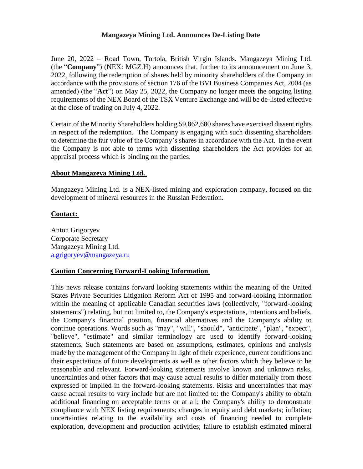## **Mangazeya Mining Ltd. Announces De-Listing Date**

June 20, 2022 – Road Town, Tortola, British Virgin Islands. Mangazeya Mining Ltd. (the "**Company**") (NEX: MGZ.H) announces that, further to its announcement on June 3, 2022, following the redemption of shares held by minority shareholders of the Company in accordance with the provisions of section 176 of the BVI Business Companies Act, 2004 (as amended) (the "**Act**") on May 25, 2022, the Company no longer meets the ongoing listing requirements of the NEX Board of the TSX Venture Exchange and will be de-listed effective at the close of trading on July 4, 2022.

Certain of the Minority Shareholders holding 59,862,680 shares have exercised dissent rights in respect of the redemption. The Company is engaging with such dissenting shareholders to determine the fair value of the Company's shares in accordance with the Act. In the event the Company is not able to terms with dissenting shareholders the Act provides for an appraisal process which is binding on the parties.

## **About Mangazeya Mining Ltd.**

Mangazeya Mining Ltd. is a NEX-listed mining and exploration company, focused on the development of mineral resources in the Russian Federation.

## **Contact:**

Anton Grigoryev Corporate Secretary Mangazeya Mining Ltd. [a.grigoryev@mangazeya.ru](mailto:a.grigoryev@mangazeya.ru)

## **Caution Concerning Forward-Looking Information**

This news release contains forward looking statements within the meaning of the United States Private Securities Litigation Reform Act of 1995 and forward-looking information within the meaning of applicable Canadian securities laws (collectively, "forward-looking statements") relating, but not limited to, the Company's expectations, intentions and beliefs, the Company's financial position, financial alternatives and the Company's ability to continue operations. Words such as "may", "will", "should", "anticipate", "plan", "expect", "believe", "estimate" and similar terminology are used to identify forward-looking statements. Such statements are based on assumptions, estimates, opinions and analysis made by the management of the Company in light of their experience, current conditions and their expectations of future developments as well as other factors which they believe to be reasonable and relevant. Forward-looking statements involve known and unknown risks, uncertainties and other factors that may cause actual results to differ materially from those expressed or implied in the forward-looking statements. Risks and uncertainties that may cause actual results to vary include but are not limited to: the Company's ability to obtain additional financing on acceptable terms or at all; the Company's ability to demonstrate compliance with NEX listing requirements; changes in equity and debt markets; inflation; uncertainties relating to the availability and costs of financing needed to complete exploration, development and production activities; failure to establish estimated mineral